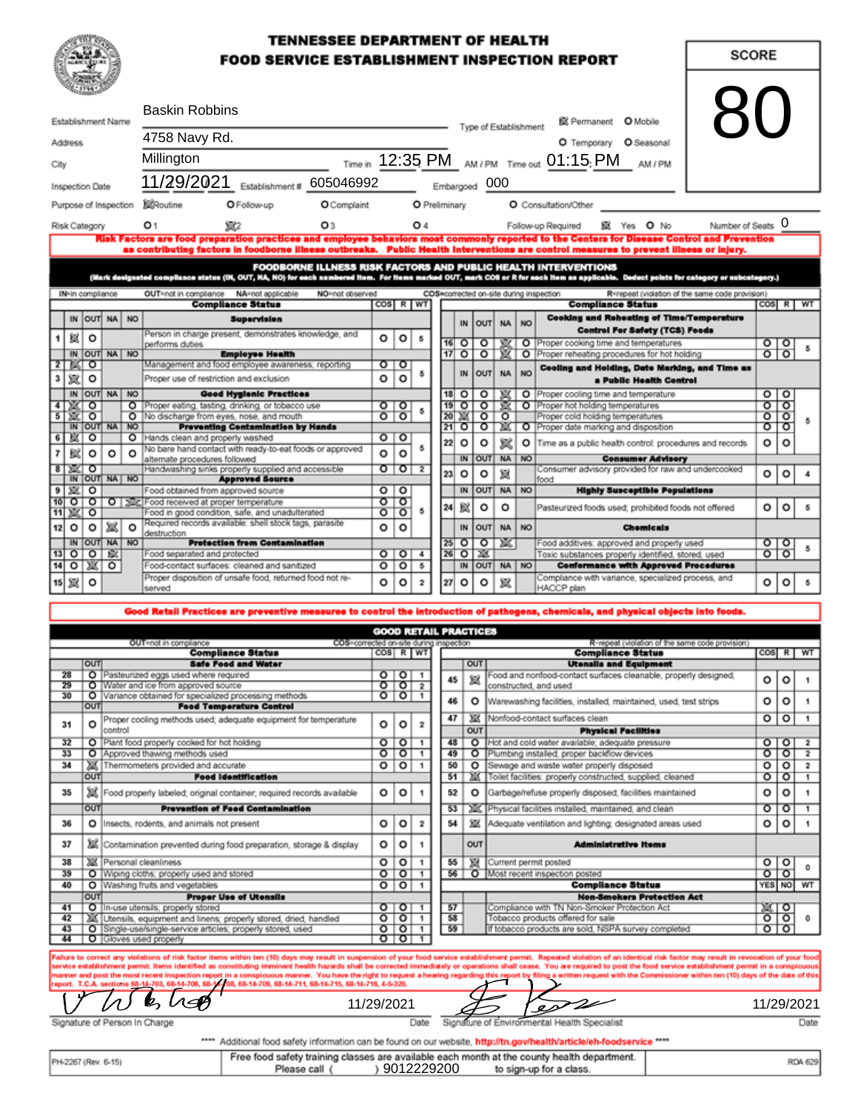### **TENNESSEE DEPARTMENT OF HEALTH FOOD SERVICE ESTABLISHMENT INSPECTION REPORT**

| <b>Baskin Robbins</b><br>Establishment Name |                              |           |                       | @ Permanent O Mobile<br>Type of Establishment |                                                                                                                                                                                                                                                                                       |                         |                                                                                           |                |    |                                                                              |                             |                                                | 8C        |                                                                                            |                    |                    |          |
|---------------------------------------------|------------------------------|-----------|-----------------------|-----------------------------------------------|---------------------------------------------------------------------------------------------------------------------------------------------------------------------------------------------------------------------------------------------------------------------------------------|-------------------------|-------------------------------------------------------------------------------------------|----------------|----|------------------------------------------------------------------------------|-----------------------------|------------------------------------------------|-----------|--------------------------------------------------------------------------------------------|--------------------|--------------------|----------|
|                                             | Address                      |           |                       |                                               | 4758 Navy Rd.                                                                                                                                                                                                                                                                         | O Temporary O Seasonal  |                                                                                           |                |    |                                                                              |                             |                                                |           |                                                                                            |                    |                    |          |
| City                                        |                              |           |                       |                                               | Millington                                                                                                                                                                                                                                                                            |                         |                                                                                           |                |    |                                                                              |                             |                                                |           | Time in 12:35 PM AM/PM Time out 01:15: PM AM/PM                                            |                    |                    |          |
|                                             |                              |           |                       |                                               | 11/29/2021 Establishment # 605046992                                                                                                                                                                                                                                                  |                         |                                                                                           |                |    |                                                                              | Embargoed 000               |                                                |           |                                                                                            |                    |                    |          |
|                                             | nspection Date               |           |                       |                                               |                                                                                                                                                                                                                                                                                       |                         |                                                                                           |                |    |                                                                              |                             |                                                |           |                                                                                            |                    |                    |          |
|                                             |                              |           | Purpose of Inspection |                                               | <b>XXRoutine</b><br>O Follow-up<br>O Complaint                                                                                                                                                                                                                                        |                         |                                                                                           | O Preliminary  |    |                                                                              |                             |                                                |           | O Consultation/Other                                                                       |                    |                    |          |
|                                             | Risk Category                |           |                       |                                               | 觉<br>O <sub>3</sub><br>O 1                                                                                                                                                                                                                                                            |                         |                                                                                           | O <sub>4</sub> |    |                                                                              |                             |                                                |           | Number of Seats O<br>赋 Yes O No<br>Follow-up Required                                      |                    |                    |          |
|                                             |                              |           |                       |                                               | Risk Factors are food preparation practices and employee behaviors most commonly reported to the Centers for Disease Control and Prevention<br>as contributing factors in foodborne illness outbreaks. Public Health Interventions are control measures to prevent illness or injury. |                         |                                                                                           |                |    |                                                                              |                             |                                                |           |                                                                                            |                    |                    |          |
|                                             |                              |           |                       |                                               | <b>FOODBORNE ILLNESS RISK FACTORS AND PUBLIC HEALTH INTERVENTIONS</b>                                                                                                                                                                                                                 |                         |                                                                                           |                |    |                                                                              |                             |                                                |           |                                                                                            |                    |                    |          |
|                                             |                              |           |                       |                                               | (Mark designated compliance status (IN, OUT, NA, NO) for each numbered item. For items marked OUT, mark COS or R for each item as applicable. Deduct points for category or subcategory.)                                                                                             |                         |                                                                                           |                |    |                                                                              |                             |                                                |           |                                                                                            |                    |                    |          |
|                                             | IN-in compliance             |           |                       |                                               | OUT=not in compliance NA=not applicable                                                                                                                                                                                                                                               | NO=not observed         |                                                                                           |                |    |                                                                              |                             |                                                |           | COS=corrected on-site during inspection<br>R=repeat (violation of the same code provision) |                    |                    |          |
|                                             |                              |           |                       |                                               | <b>Compliance Status</b>                                                                                                                                                                                                                                                              | $cos$ R   WT            |                                                                                           |                |    |                                                                              |                             |                                                |           | <b>Compliance Status</b>                                                                   |                    |                    | COS R WT |
|                                             |                              |           | IN OUT NA NO          |                                               | <b>Supervision</b><br><b>OUT</b><br><b>NA</b><br><b>NO</b><br>IN                                                                                                                                                                                                                      |                         | <b>Cooking and Reheating of Time/Temperature</b><br><b>Control For Safety (TCS) Foods</b> |                |    |                                                                              |                             |                                                |           |                                                                                            |                    |                    |          |
|                                             | 寒                            | $\circ$   |                       |                                               | Person in charge present, demonstrates knowledge, and<br>performs duties                                                                                                                                                                                                              | ۰                       | $\circ$                                                                                   | 5              |    | 16 O                                                                         | $\circ$ $\circ$             | 寒                                              |           | O Proper cooking time and temperatures                                                     |                    |                    |          |
|                                             |                              |           | IN OUT NA NO          |                                               | <b>Employee Health</b>                                                                                                                                                                                                                                                                |                         |                                                                                           |                |    | $\overline{17}$ O                                                            | $\circ$                     | Ж                                              |           | O Proper reheating procedures for hot holding                                              | 위원                 |                    |          |
| 3                                           | 2 2 0<br>宸                   | o         |                       |                                               | Management and food employee awareness; reporting<br>०ा०<br>o<br>Proper use of restriction and exclusion                                                                                                                                                                              |                         | $\circ$                                                                                   |                |    | <b>OUT</b><br>NO <sub>1</sub><br>IN.<br><b>NA</b><br>a Public Health Control |                             | Cooling and Holding, Date Marking, and Time as |           |                                                                                            |                    |                    |          |
|                                             |                              | IN OUT NA |                       | <b>NO</b>                                     | <b>Good Hygienic Practices</b>                                                                                                                                                                                                                                                        |                         |                                                                                           |                |    | $18$ $\circ$                                                                 | $\circ$                     | УX                                             |           | O Proper cooling time and temperature                                                      | 0 0                |                    |          |
| 4                                           | শ্লাত                        |           |                       |                                               | O Proper eating, tasting, drinking, or tobacco use                                                                                                                                                                                                                                    |                         | ०ा०                                                                                       | s.             |    |                                                                              | 19 0 0 2                    |                                                |           | O Proper hot holding temperatures                                                          | ०                  | তা                 |          |
| $\overline{5}$                              | $\mathbb{E}$ o               |           |                       | $\circ$                                       | No discharge from eyes, nose, and mouth                                                                                                                                                                                                                                               | $\overline{\mathsf{o}}$ | $\overline{\circ}$                                                                        |                |    | 20.25                                                                        | $\circ$ $\circ$             |                                                |           | Proper cold holding temperatures                                                           | $\overline{\circ}$ | $\overline{\circ}$ |          |
|                                             |                              |           | IN OUT NA NO          |                                               | <b>Preventing Centamination by Hands</b>                                                                                                                                                                                                                                              |                         |                                                                                           |                |    | 2100                                                                         |                             | ाक्षा                                          |           | O Proper date marking and disposition                                                      | ०                  | ०                  |          |
| 6                                           | 窗口                           |           |                       | o                                             | Hands clean and properly washed<br>No bare hand contact with ready-to-eat foods or approved                                                                                                                                                                                           |                         | $\circ$ To<br>$\circ$                                                                     | 5              | 22 | o                                                                            | o                           | 宸                                              |           | O Time as a public health control: procedures and records                                  | $\circ$            | $\circ$            |          |
|                                             | 寒                            | $\circ$   | $\circ$               | $\circ$                                       | alternate procedures followed                                                                                                                                                                                                                                                         | Ō                       |                                                                                           |                |    | IN                                                                           | OUT NA                      |                                                | <b>NO</b> | <b>Consumer Advisory</b>                                                                   |                    |                    |          |
|                                             | 8   ※   〇                    |           |                       |                                               | Handwashing sinks properly supplied and accessible                                                                                                                                                                                                                                    |                         | $\circ$ 1012                                                                              |                | 23 | o                                                                            | o                           | 冦                                              |           | Consumer advisory provided for raw and undercooked                                         | ۰                  | $\circ$            |          |
|                                             |                              |           | IN OUT NA NO          |                                               | <b>Approved Source</b>                                                                                                                                                                                                                                                                |                         |                                                                                           |                |    |                                                                              |                             |                                                |           | food                                                                                       |                    |                    |          |
| $\overline{\mathbf{9}}$                     | 塞口                           |           |                       |                                               | Food obtained from approved source<br>10 0 0 0 3 Food received at proper temperature                                                                                                                                                                                                  |                         | $\overline{\circ}$ $\overline{\circ}$<br>ठाठ                                              |                |    | IN                                                                           | OUT                         | <b>NA</b>                                      | <b>NO</b> | <b>Highly Susceptible Populations</b>                                                      |                    |                    |          |
|                                             | 11 ※ 0                       |           |                       |                                               | Food in good condition, safe, and unadulterated                                                                                                                                                                                                                                       | ᠥ                       | তা                                                                                        | 5              | 24 | 獄                                                                            | o                           | o                                              |           | Pasteurized foods used; prohibited foods not offered                                       | ٥                  | o                  | 5        |
| 12                                          | $\circ$                      | o         | 冠                     | $\circ$                                       | Required records available: shell stock tags, parasite<br>destruction                                                                                                                                                                                                                 | о                       | $\circ$                                                                                   |                |    | IN                                                                           | <b>OUT</b>                  | NA NO                                          |           | <b>Chemicals</b>                                                                           |                    |                    |          |
|                                             |                              |           | IN OUT NA NO          |                                               | <b>Protection from Contamination</b>                                                                                                                                                                                                                                                  |                         |                                                                                           |                |    |                                                                              | 25 0 0 2 3                  |                                                |           | Food additives: approved and properly used                                                 | $\circ$ $\circ$    |                    |          |
|                                             | 13 0 0 23                    |           |                       |                                               | Food separated and protected                                                                                                                                                                                                                                                          |                         | 0 0 4                                                                                     |                |    |                                                                              | $26$ O $\overline{\lambda}$ |                                                |           | Toxic substances properly identified, stored, used                                         | $\overline{\circ}$ | ত                  |          |
|                                             | 14 이동 이                      |           |                       |                                               | Food-contact surfaces: cleaned and sanitized                                                                                                                                                                                                                                          | o                       | $\overline{\circ}$                                                                        | $\overline{5}$ |    |                                                                              | IN OUT                      | NA NO                                          |           | <b>Conformance with Approved Procedures</b>                                                |                    |                    |          |
|                                             | 15   观                       | $\circ$   |                       |                                               | Proper disposition of unsafe food, returned food not re-<br>served                                                                                                                                                                                                                    | o                       | o                                                                                         | $\mathbf{z}$   | 27 | ٥                                                                            | o                           | 宸                                              |           | Compliance with variance, specialized process, and<br>HACCP plan                           | $\circ$            | $\circ$            | 5        |
|                                             |                              |           |                       |                                               |                                                                                                                                                                                                                                                                                       |                         |                                                                                           |                |    |                                                                              |                             |                                                |           |                                                                                            |                    |                    |          |
|                                             |                              |           |                       |                                               | Good Retail Practices are preventive measures to control the introduction of pathogens, chemicals, and physical objects into foods.                                                                                                                                                   |                         |                                                                                           |                |    |                                                                              |                             |                                                |           |                                                                                            |                    |                    |          |
|                                             |                              |           |                       |                                               |                                                                                                                                                                                                                                                                                       |                         |                                                                                           |                |    |                                                                              |                             |                                                |           |                                                                                            |                    |                    |          |
|                                             | <b>GOOD RETAIL PRACTICES</b> |           |                       |                                               |                                                                                                                                                                                                                                                                                       |                         |                                                                                           |                |    |                                                                              |                             |                                                |           |                                                                                            |                    |                    |          |

| OUT=not in compliance<br>COS=corrected on-site during inspection |                                      |                                                                       |                    |                                 |                         |                                                                         | R-repeat (violation of the same code provision) |         |                                                                  |                 |         |                         |
|------------------------------------------------------------------|--------------------------------------|-----------------------------------------------------------------------|--------------------|---------------------------------|-------------------------|-------------------------------------------------------------------------|-------------------------------------------------|---------|------------------------------------------------------------------|-----------------|---------|-------------------------|
|                                                                  |                                      | <b>Compliance Status</b>                                              |                    | $\cos$ R WT                     |                         |                                                                         |                                                 |         | <b>Compliance Status</b>                                         |                 |         | COS R WT                |
|                                                                  | <b>OUT</b>                           | <b>Safe Food and Water</b>                                            |                    |                                 |                         |                                                                         |                                                 | OUT     | <b>Utensils and Equipment</b>                                    |                 |         |                         |
| 28                                                               |                                      | O Pasteurized eggs used where required                                |                    | 0 0 1                           |                         |                                                                         | 45                                              | 窟       | Food and nonfood-contact surfaces cleanable, properly designed,  | $\circ$         | $\circ$ |                         |
| 29                                                               |                                      | O IWater and ice from approved source                                 |                    | ०ा०ा                            | $\overline{\mathbf{z}}$ |                                                                         |                                                 |         | constructed, and used                                            |                 |         |                         |
| 30                                                               |                                      | O Variance obtained for specialized processing methods                |                    | $\circ$ $\circ$ $\circ$ $\circ$ |                         |                                                                         | 46                                              | ۰       | Warewashing facilities, installed, maintained, used, test strips | $\circ$         | $\circ$ |                         |
|                                                                  | OUT                                  | <b>Food Temperature Control</b>                                       |                    |                                 |                         |                                                                         |                                                 |         |                                                                  |                 |         |                         |
|                                                                  | ٥                                    | Proper cooling methods used; adequate equipment for temperature       | o                  | $\circ$                         | 2                       |                                                                         | 47                                              | 冠       | Nonfood-contact surfaces clean                                   |                 | $\circ$ |                         |
| 31                                                               |                                      | lottnoo                                                               |                    |                                 |                         |                                                                         |                                                 | OUT     | <b>Physical Facilities</b>                                       |                 |         |                         |
| 32                                                               |                                      | O Plant food properly cooked for hot holding                          | $\circ$            | ত                               |                         |                                                                         | 48                                              |         | O Hot and cold water available; adequate pressure                | $\circ$ To      |         | $\overline{\mathbf{2}}$ |
| 33                                                               |                                      | O Approved thawing methods used                                       | ᡒ                  | ০                               |                         |                                                                         | 49                                              |         | O Plumbing installed; proper backflow devices                    | ा               | ত       | $\overline{2}$          |
| 34                                                               |                                      | Thermometers provided and accurate                                    | ۰                  | $\circ$                         |                         |                                                                         | 50                                              | o       | Sewage and waste water properly disposed                         | o               | $\circ$ |                         |
|                                                                  | OUT                                  | <b>Food Identification</b>                                            |                    |                                 |                         | Toilet facilities: properly constructed, supplied, cleaned<br>51<br>ZA. |                                                 |         | o                                                                | $\circ$         |         |                         |
| 35                                                               | ж                                    | Food properly labeled; original container; required records available | o                  | $\circ$                         |                         |                                                                         | 52                                              | $\circ$ | Garbage/refuse properly disposed; facilities maintained          | o               | $\circ$ |                         |
|                                                                  | OUT                                  | <b>Prevention of Feed Contamination</b>                               |                    |                                 |                         |                                                                         | 53                                              |         | Physical facilities installed, maintained, and clean             | ᠊ᠦ              | ত       |                         |
| 36                                                               | o                                    | Insects, rodents, and animals not present                             | o                  | $\circ$                         | $\overline{\mathbf{z}}$ |                                                                         | 54                                              | 冠       | Adequate ventilation and lighting; designated areas used         | o               | $\circ$ |                         |
| 37                                                               |                                      | Contamination prevented during food preparation, storage & display    |                    | o<br>$\circ$                    | 1                       |                                                                         |                                                 | OUT     | <b>Administrative Items</b>                                      |                 |         |                         |
| 38                                                               |                                      | Personal cleanliness                                                  | o                  | $\circ$                         |                         |                                                                         | 55                                              | 颖       | Current permit posted                                            | o               | $\circ$ |                         |
| 39                                                               |                                      | O Wiping cloths: properly used and stored                             | $\overline{\circ}$ | ত                               |                         |                                                                         |                                                 |         | 56 O Most recent inspection posted                               | $\circ$ $\circ$ |         |                         |
| 40                                                               |                                      | O Washing fruits and vegetables                                       |                    | 0 0                             | -1                      |                                                                         |                                                 |         | <b>Compliance Status</b>                                         |                 |         | YES NO WT               |
|                                                                  | <b>Proper Use of Utensils</b><br>OUT |                                                                       |                    |                                 |                         | <b>Non-Smokers Protection Act</b>                                       |                                                 |         |                                                                  |                 |         |                         |
| 41                                                               |                                      | O In-use utensils; properly stored                                    |                    | $\circ$ $\circ$ $\circ$         |                         |                                                                         | 57                                              |         | Compliance with TN Non-Smoker Protection Act                     | $\sqrt{2}$      |         |                         |
| 42                                                               |                                      | If Utensils, equipment and linens; properly stored, dried, handled    | ०                  | $\circ$                         |                         |                                                                         | 58                                              |         | Tobacco products offered for sale                                | $\circ$         | ত       |                         |
| 43                                                               |                                      | O Single-use/single-service articles; properly stored, used           | $\circ$            | ०                               |                         |                                                                         | 59                                              |         | If tobacco products are sold. NSPA survey completed              | $\circ$ to      |         |                         |
| 44                                                               |                                      | O Gloves used properly                                                |                    | $\circ$ to $\circ$              |                         |                                                                         |                                                 |         |                                                                  |                 |         |                         |

ions of risk factor items within ten (10) days may result in suspension o<br>it ltems identified as constituting imminent health hazards shall be com ated violation of an identical risk factor may result in revocation of your food and all of the food service establishment permit in a conspicuou<br>a written request with the Commissioner within ten (10) days of the date of on of your food service establ us manner. You have the right to request a h (8-14-709, 68-14-711, 68-14-715, 68-14-716, 4-5-3)

ort. T.C.A. sections 68-14-703, 68-14-706, 68

Date Signature of Environmental Health Specialist

11/29/2021 11/29/2021

**SCORE** 

|  |  | gnature of Person In Charge |  |
|--|--|-----------------------------|--|
|--|--|-----------------------------|--|

## Date

## \*\*\*\* Additional food safety information can be found on our website, http://tn.gow/health/article/eh-foodservice \*\*\*\*

| PH-2267 (Rev. 6-15) |             |            | Free food safety training classes are available each month at the county health department. | RDA 629 |
|---------------------|-------------|------------|---------------------------------------------------------------------------------------------|---------|
|                     | Please call | 9012229200 | to sign-up for a class.                                                                     |         |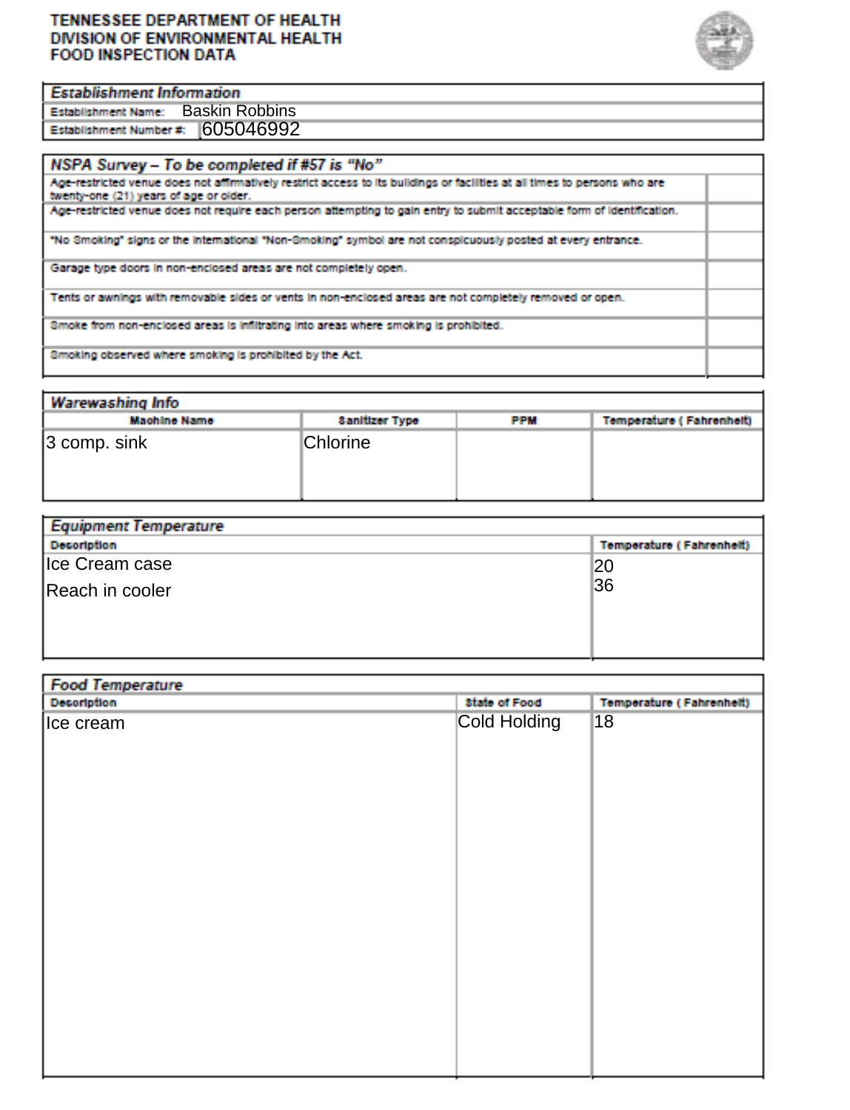#### TENNESSEE DEPARTMENT OF HEALTH DIVISION OF ENVIRONMENTAL HEALTH **FOOD INSPECTION DATA**



#### **Establishment Information**

Establishment Name: Baskin Robbins Establishment Number #: 605046992

| NSPA Survey - To be completed if #57 is "No"                                                                                                                         |  |
|----------------------------------------------------------------------------------------------------------------------------------------------------------------------|--|
| Age-restricted venue does not affirmatively restrict access to its buildings or facilities at all times to persons who are<br>twenty-one (21) years of age or older. |  |
| Age-restricted venue does not require each person attempting to gain entry to submit acceptable form of identification.                                              |  |
| "No 3moking" signs or the international "Non-3moking" symbol are not conspicuously posted at every entrance.                                                         |  |
| Garage type doors in non-enclosed areas are not completely open.                                                                                                     |  |
| Tents or awnings with removable sides or vents in non-enclosed areas are not completely removed or open.                                                             |  |
| Smoke from non-enclosed areas is infiltrating into areas where smoking is prohibited.                                                                                |  |
| Smoking observed where smoking is prohibited by the Act.                                                                                                             |  |

| <b>Warewashing Info</b> |                       |            |                          |
|-------------------------|-----------------------|------------|--------------------------|
| <b>Machine Name</b>     | <b>Sanitizer Type</b> | <b>PPM</b> | Temperature (Fahrenheit) |
| $ 3$ comp. sink         | <b>Chlorine</b>       |            |                          |

| Equipment lemperature |                                 |
|-----------------------|---------------------------------|
| <b>Decoription</b>    | <b>Temperature (Fahrenheit)</b> |
| lce Cream case        | 20                              |
| Reach in cooler       | 36                              |
|                       |                                 |
|                       |                                 |

| Decoription | <b>State of Food</b> | <b>Temperature (Fahrenheit)</b> |
|-------------|----------------------|---------------------------------|
| lce cream   | Cold Holding         | 18                              |
|             |                      |                                 |
|             |                      |                                 |
|             |                      |                                 |
|             |                      |                                 |
|             |                      |                                 |
|             |                      |                                 |
|             |                      |                                 |
|             |                      |                                 |
|             |                      |                                 |
|             |                      |                                 |
|             |                      |                                 |
|             |                      |                                 |
|             |                      |                                 |
|             |                      |                                 |
|             |                      |                                 |
|             |                      |                                 |
|             |                      |                                 |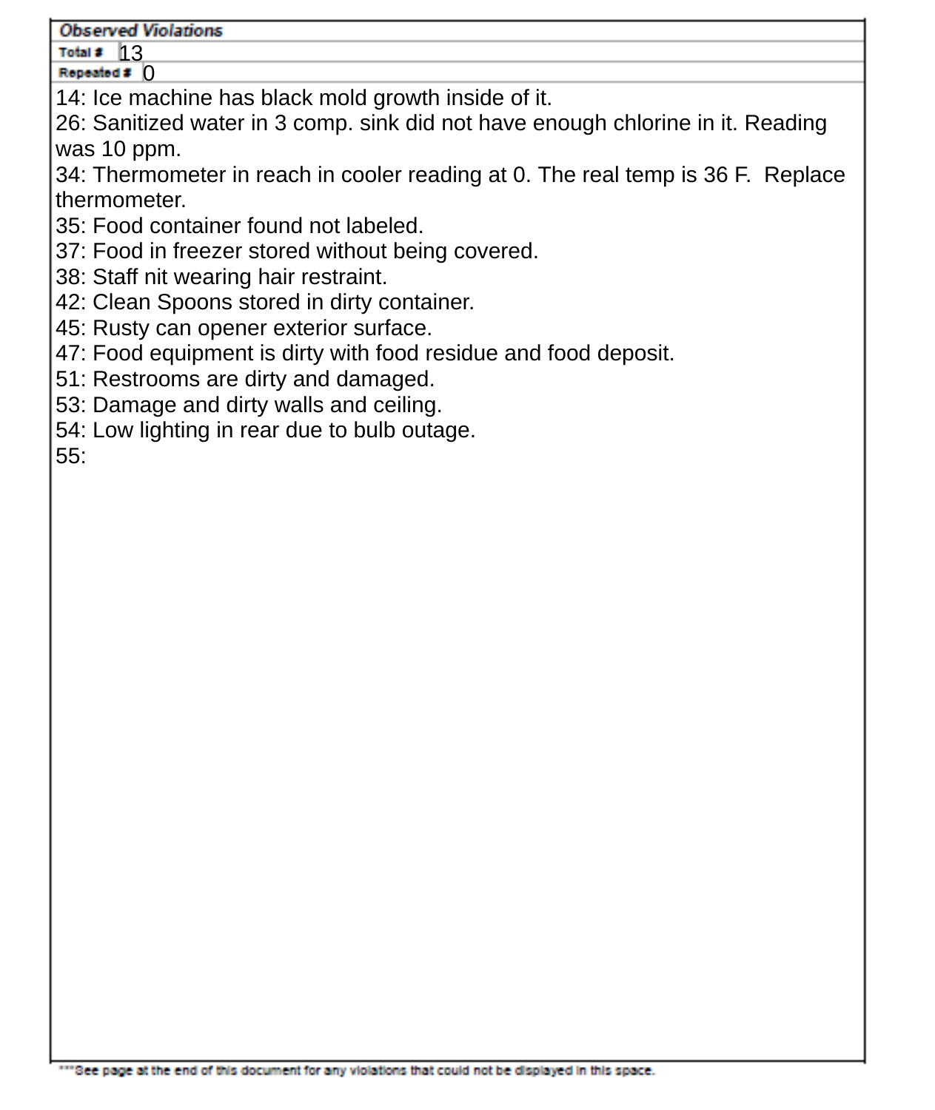#### **Observed Violations**

Total #  $13$ Repeated  $\boldsymbol{z}$  ()

14: Ice machine has black mold growth inside of it.

26: Sanitized water in 3 comp. sink did not have enough chlorine in it. Reading was 10 ppm.

34: Thermometer in reach in cooler reading at 0. The real temp is 36 F. Replace thermometer.

- 35: Food container found not labeled.
- 37: Food in freezer stored without being covered.
- 38: Staff nit wearing hair restraint.
- 42: Clean Spoons stored in dirty container.
- 45: Rusty can opener exterior surface.
- 47: Food equipment is dirty with food residue and food deposit.
- 51: Restrooms are dirty and damaged.
- 53: Damage and dirty walls and ceiling.
- 54: Low lighting in rear due to bulb outage.

55: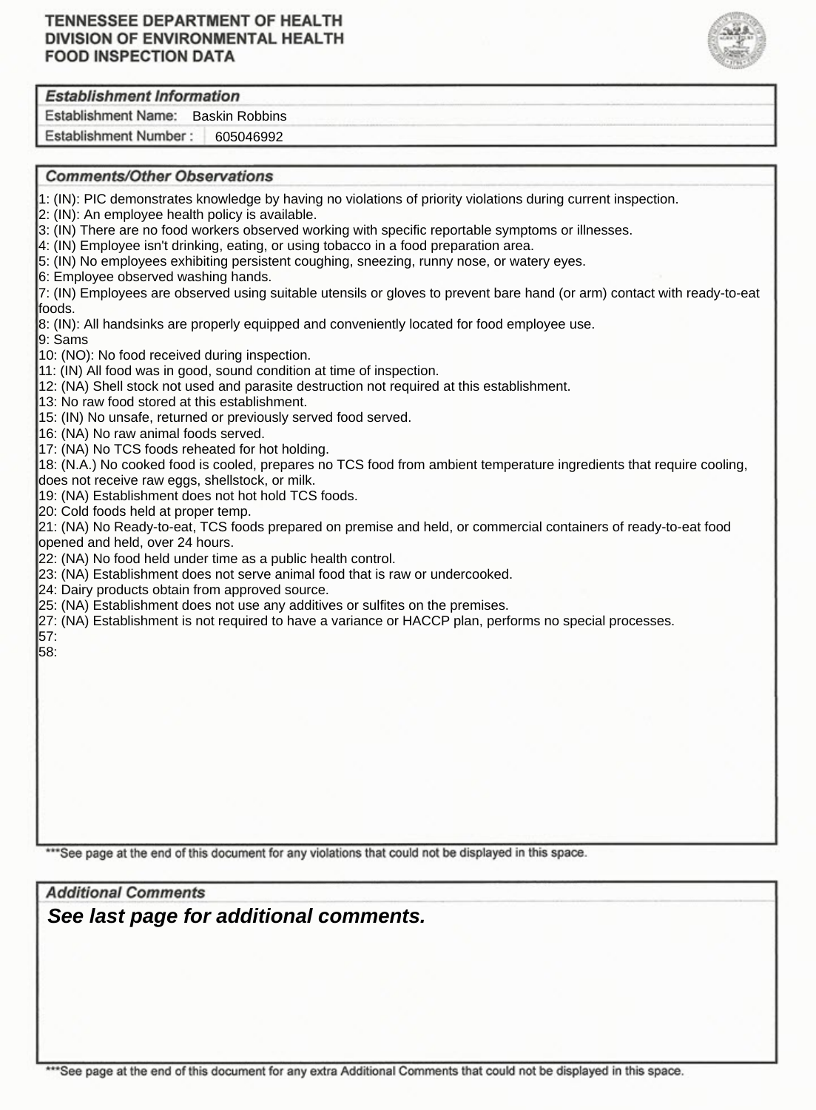### **TENNESSEE DEPARTMENT OF HEALTH** DIVISION OF ENVIRONMENTAL HEALTH **FOOD INSPECTION DATA**



### **Establishment Information**

Establishment Name: Baskin Robbins

Establishment Number: 605046992

#### **Comments/Other Observations**

1: (IN): PIC demonstrates knowledge by having no violations of priority violations during current inspection.

2: (IN): An employee health policy is available.

- 3: (IN) There are no food workers observed working with specific reportable symptoms or illnesses.
- 4: (IN) Employee isn't drinking, eating, or using tobacco in a food preparation area.
- 5: (IN) No employees exhibiting persistent coughing, sneezing, runny nose, or watery eyes.

6: Employee observed washing hands.

7: (IN) Employees are observed using suitable utensils or gloves to prevent bare hand (or arm) contact with ready-to-eat foods.

8: (IN): All handsinks are properly equipped and conveniently located for food employee use.

9: Sams

10: (NO): No food received during inspection.

11: (IN) All food was in good, sound condition at time of inspection.

12: (NA) Shell stock not used and parasite destruction not required at this establishment.

13: No raw food stored at this establishment.

15: (IN) No unsafe, returned or previously served food served.

16: (NA) No raw animal foods served.

17: (NA) No TCS foods reheated for hot holding.

18: (N.A.) No cooked food is cooled, prepares no TCS food from ambient temperature ingredients that require cooling, does not receive raw eggs, shellstock, or milk.

19: (NA) Establishment does not hot hold TCS foods.

20: Cold foods held at proper temp.

21: (NA) No Ready-to-eat, TCS foods prepared on premise and held, or commercial containers of ready-to-eat food opened and held, over 24 hours.

22: (NA) No food held under time as a public health control.

23: (NA) Establishment does not serve animal food that is raw or undercooked.

24: Dairy products obtain from approved source.

25: (NA) Establishment does not use any additives or sulfites on the premises.

27: (NA) Establishment is not required to have a variance or HACCP plan, performs no special processes. 57:

58:

\*\*\* See page at the end of this document for any violations that could not be displayed in this space.

**Additional Comments** *See last page for additional comments.*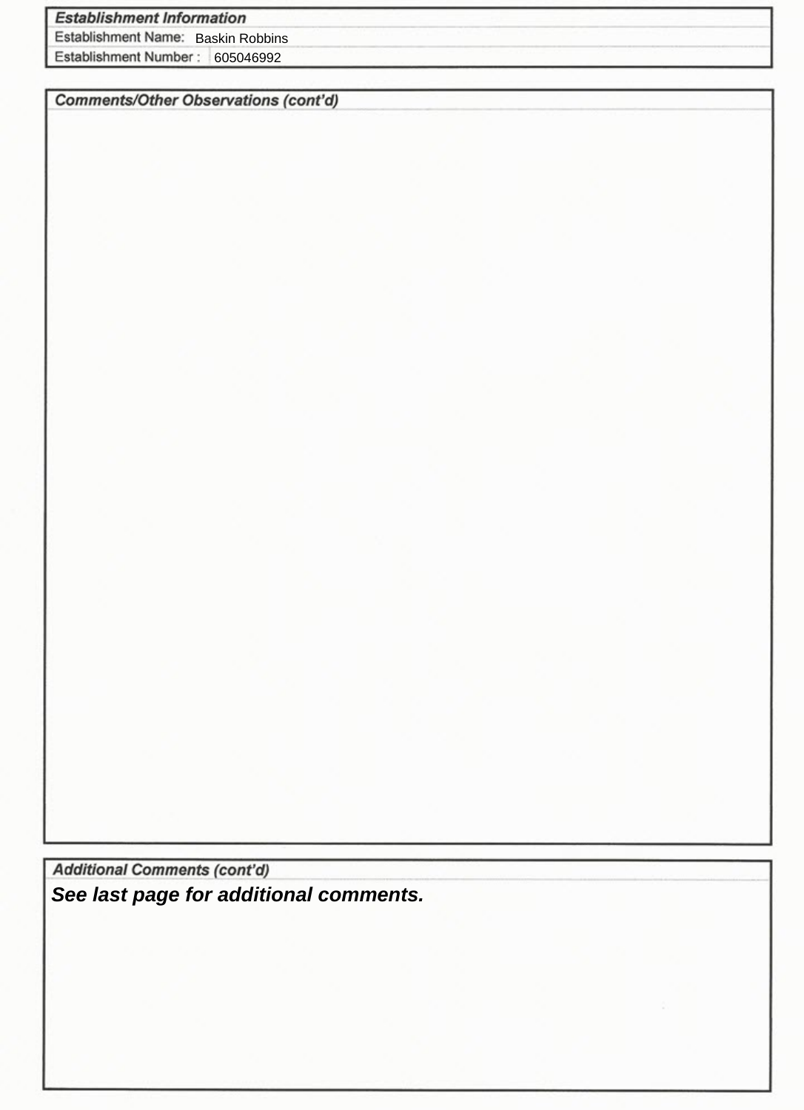# **Establishment Information**

Establishment Name: Baskin Robbins

Establishment Number: 605046992

**Comments/Other Observations (cont'd)** 

**Additional Comments (cont'd)** *See last page for additional comments.*